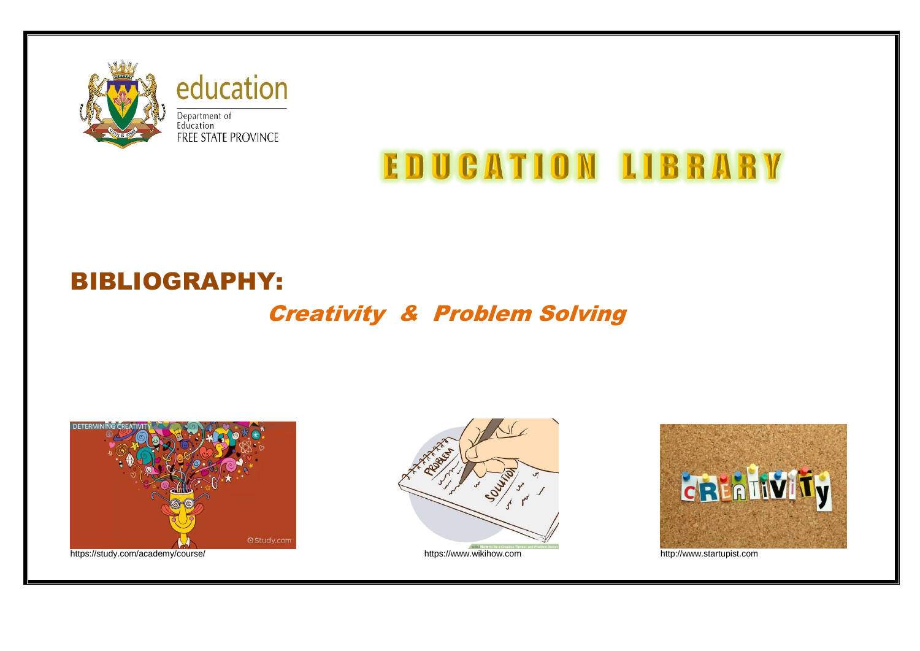

# education Department of<br>Education<br>FREE STATE PROVINCE

# **EDUCATION LIBRARY**

## BIBLIOGRAPHY:

## Creativity & Problem Solving



https://study.com/academy/course/ https://www.wikihow.com https://www.wikihow.com http://www.startupist.com



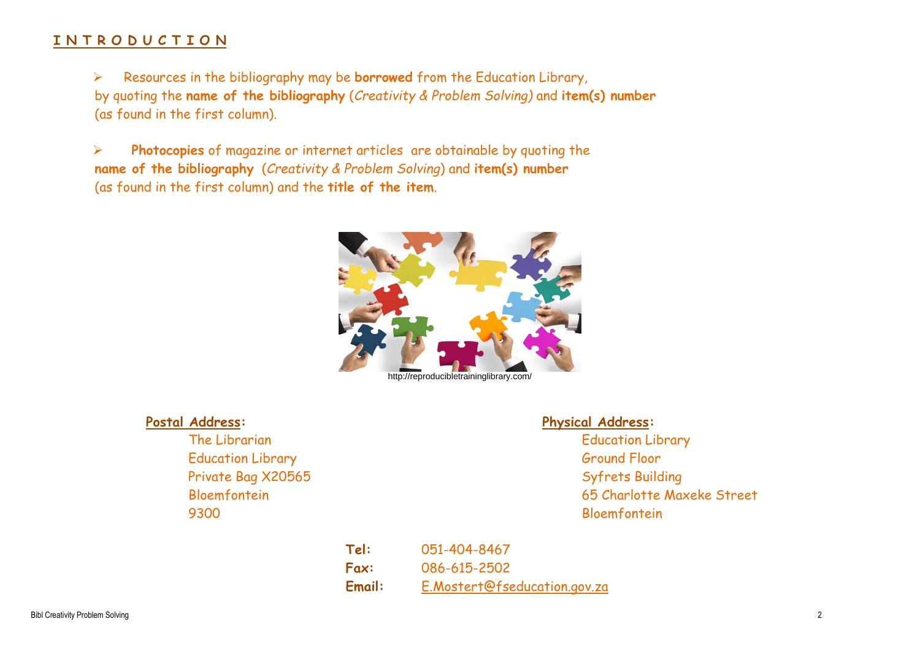### **I N T R O D U C T I O N**

 Resources in the bibliography may be **borrowed** from the Education Library, by quoting the **name of the bibliography** (*Creativity & Problem Solving)* and **item(s) number** (as found in the first column).

 **Photocopies** of magazine or internet articles are obtainable by quoting the **name of the bibliography** (*Creativity & Problem Solving*) and **item(s) number** (as found in the first column) and the **title of the item**.



Education Library Ground Floor Private Bag X20565 Syfrets Building 9300 Bloemfontein

### **Postal Address: Physical Address:**

The Librarian **Education Library** Education Library Bloemfontein 65 Charlotte Maxeke Street

> **Tel:** 051-404-8467 **Fax:** 086-615-2502 **Email:** [E.Mostert@fseducation.gov.za](mailto:E.Mostert@fseducation.gov.za)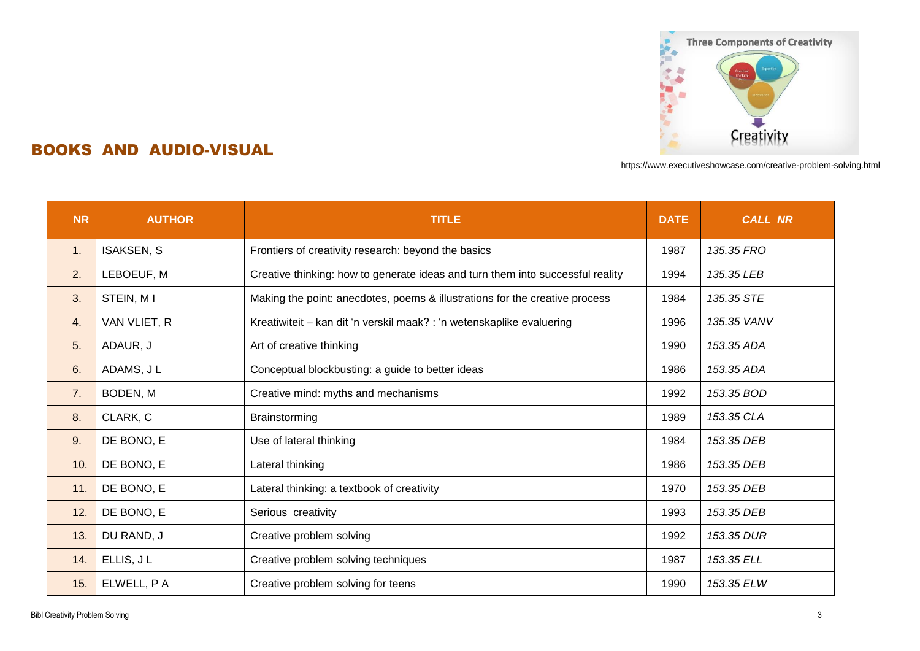

## BOOKS AND AUDIO-VISUAL

https://www.executiveshowcase.com/creative-problem-solving.html

| <b>NR</b>      | <b>AUTHOR</b><br><b>TITLE</b> |                                                                                | <b>DATE</b> | <b>CALL NR</b> |
|----------------|-------------------------------|--------------------------------------------------------------------------------|-------------|----------------|
| $\mathbf{1}$ . | <b>ISAKSEN, S</b>             | Frontiers of creativity research: beyond the basics                            | 1987        | 135.35 FRO     |
| 2.             | LEBOEUF, M                    | Creative thinking: how to generate ideas and turn them into successful reality | 1994        | 135.35 LEB     |
| 3.             | STEIN, M I                    | Making the point: anecdotes, poems & illustrations for the creative process    | 1984        | 135.35 STE     |
| 4.             | VAN VLIET, R                  | Kreatiwiteit - kan dit 'n verskil maak? : 'n wetenskaplike evaluering          | 1996        | 135.35 VANV    |
| 5.             | ADAUR, J                      | Art of creative thinking                                                       | 1990        | 153.35 ADA     |
| 6.             | ADAMS, JL                     | Conceptual blockbusting: a guide to better ideas                               | 1986        | 153.35 ADA     |
| 7.             | BODEN, M                      | Creative mind: myths and mechanisms                                            | 1992        | 153.35 BOD     |
| 8.             | CLARK, C                      | Brainstorming                                                                  | 1989        | 153.35 CLA     |
| 9.             | DE BONO, E                    | Use of lateral thinking                                                        | 1984        | 153.35 DEB     |
| 10.            | DE BONO, E                    | Lateral thinking                                                               | 1986        | 153.35 DEB     |
| 11.            | DE BONO, E                    | Lateral thinking: a textbook of creativity                                     | 1970        | 153.35 DEB     |
| 12.            | DE BONO, E                    | Serious creativity                                                             | 1993        | 153.35 DEB     |
| 13.            | DU RAND, J                    | Creative problem solving                                                       | 1992        | 153.35 DUR     |
| 14.            | ELLIS, JL                     | Creative problem solving techniques                                            | 1987        | 153.35 ELL     |
| 15.            | ELWELL, P A                   | Creative problem solving for teens                                             | 1990        | 153.35 ELW     |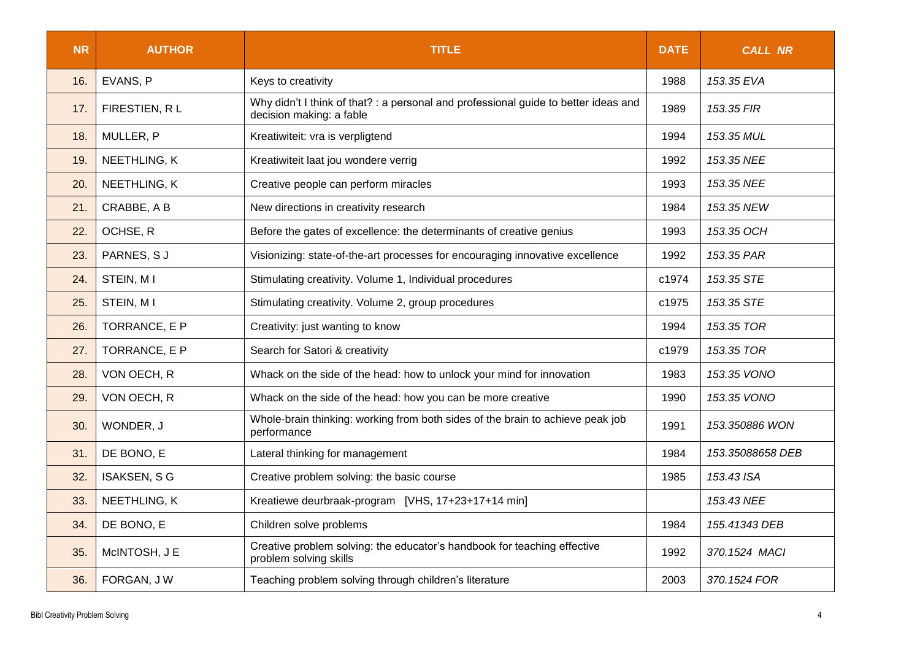| <b>NR</b> | <b>AUTHOR</b>       | <b>TITLE</b>                                                                                                    |       | <b>CALL NR</b>   |
|-----------|---------------------|-----------------------------------------------------------------------------------------------------------------|-------|------------------|
| 16.       | EVANS, P            | Keys to creativity                                                                                              | 1988  | 153.35 EVA       |
| 17.       | FIRESTIEN, RL       | Why didn't I think of that? : a personal and professional guide to better ideas and<br>decision making: a fable | 1989  | 153.35 FIR       |
| 18.       | MULLER, P           | Kreatiwiteit: vra is verpligtend                                                                                | 1994  | 153.35 MUL       |
| 19.       | NEETHLING, K        | Kreatiwiteit laat jou wondere verrig                                                                            | 1992  | 153.35 NEE       |
| 20.       | NEETHLING, K        | Creative people can perform miracles                                                                            | 1993  | 153.35 NEE       |
| 21.       | CRABBE, A B         | New directions in creativity research                                                                           | 1984  | 153.35 NEW       |
| 22.       | OCHSE, R            | Before the gates of excellence: the determinants of creative genius                                             | 1993  | 153.35 OCH       |
| 23.       | PARNES, SJ          | Visionizing: state-of-the-art processes for encouraging innovative excellence                                   | 1992  | 153.35 PAR       |
| 24.       | STEIN, MI           | Stimulating creativity. Volume 1, Individual procedures                                                         | c1974 | 153.35 STE       |
| 25.       | STEIN, MI           | Stimulating creativity. Volume 2, group procedures                                                              | c1975 | 153.35 STE       |
| 26.       | TORRANCE, E P       | Creativity: just wanting to know                                                                                | 1994  | 153.35 TOR       |
| 27.       | TORRANCE, E P       | Search for Satori & creativity                                                                                  | c1979 | 153.35 TOR       |
| 28.       | VON OECH, R         | Whack on the side of the head: how to unlock your mind for innovation                                           | 1983  | 153.35 VONO      |
| 29.       | VON OECH, R         | Whack on the side of the head: how you can be more creative                                                     | 1990  | 153.35 VONO      |
| 30.       | WONDER, J           | Whole-brain thinking: working from both sides of the brain to achieve peak job<br>performance                   | 1991  | 153.350886 WON   |
| 31.       | DE BONO, E          | Lateral thinking for management                                                                                 | 1984  | 153.35088658 DEB |
| 32.       | <b>ISAKSEN, S G</b> | Creative problem solving: the basic course                                                                      | 1985  | 153.43 ISA       |
| 33.       | NEETHLING, K        | Kreatiewe deurbraak-program [VHS, 17+23+17+14 min]                                                              |       | 153.43 NEE       |
| 34.       | DE BONO, E          | Children solve problems                                                                                         | 1984  | 155.41343 DEB    |
| 35.       | McINTOSH, J E       | Creative problem solving: the educator's handbook for teaching effective<br>problem solving skills              |       | 370.1524 MACI    |
| 36.       | FORGAN, JW          | Teaching problem solving through children's literature                                                          | 2003  | 370.1524 FOR     |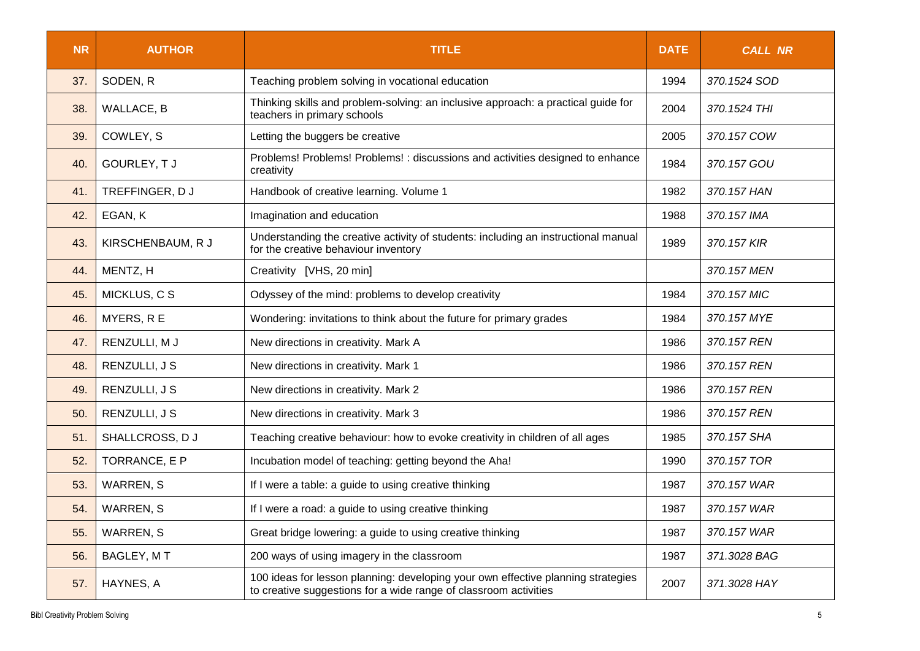| <b>NR</b> | <b>AUTHOR</b>     | <b>TITLE</b>                                                                                                                                         |      | <b>CALL NR</b> |
|-----------|-------------------|------------------------------------------------------------------------------------------------------------------------------------------------------|------|----------------|
| 37.       | SODEN, R          | Teaching problem solving in vocational education                                                                                                     | 1994 | 370.1524 SOD   |
| 38.       | <b>WALLACE, B</b> | Thinking skills and problem-solving: an inclusive approach: a practical guide for<br>teachers in primary schools                                     | 2004 | 370.1524 THI   |
| 39.       | COWLEY, S         | Letting the buggers be creative                                                                                                                      | 2005 | 370.157 COW    |
| 40.       | GOURLEY, TJ       | Problems! Problems! Problems! : discussions and activities designed to enhance<br>creativity                                                         | 1984 | 370.157 GOU    |
| 41.       | TREFFINGER, DJ    | Handbook of creative learning. Volume 1                                                                                                              | 1982 | 370.157 HAN    |
| 42.       | EGAN, K           | Imagination and education                                                                                                                            | 1988 | 370.157 IMA    |
| 43.       | KIRSCHENBAUM, R J | Understanding the creative activity of students: including an instructional manual<br>for the creative behaviour inventory                           | 1989 | 370.157 KIR    |
| 44.       | MENTZ, H          | Creativity [VHS, 20 min]                                                                                                                             |      | 370.157 MEN    |
| 45.       | MICKLUS, C S      | Odyssey of the mind: problems to develop creativity                                                                                                  | 1984 | 370.157 MIC    |
| 46.       | MYERS, R E        | Wondering: invitations to think about the future for primary grades                                                                                  | 1984 | 370.157 MYE    |
| 47.       | RENZULLI, M J     | New directions in creativity. Mark A                                                                                                                 | 1986 | 370.157 REN    |
| 48.       | RENZULLI, J S     | New directions in creativity. Mark 1                                                                                                                 | 1986 | 370.157 REN    |
| 49.       | RENZULLI, J S     | New directions in creativity. Mark 2                                                                                                                 | 1986 | 370.157 REN    |
| 50.       | RENZULLI, J S     | New directions in creativity. Mark 3                                                                                                                 | 1986 | 370.157 REN    |
| 51.       | SHALLCROSS, DJ    | Teaching creative behaviour: how to evoke creativity in children of all ages                                                                         | 1985 | 370.157 SHA    |
| 52.       | TORRANCE, E P     | Incubation model of teaching: getting beyond the Aha!                                                                                                | 1990 | 370.157 TOR    |
| 53.       | <b>WARREN, S</b>  | If I were a table: a guide to using creative thinking                                                                                                | 1987 | 370.157 WAR    |
| 54.       | <b>WARREN, S</b>  | If I were a road: a guide to using creative thinking                                                                                                 | 1987 | 370.157 WAR    |
| 55.       | <b>WARREN, S</b>  | Great bridge lowering: a guide to using creative thinking                                                                                            | 1987 | 370.157 WAR    |
| 56.       | BAGLEY, MT        | 200 ways of using imagery in the classroom                                                                                                           | 1987 | 371.3028 BAG   |
| 57.       | HAYNES, A         | 100 ideas for lesson planning: developing your own effective planning strategies<br>to creative suggestions for a wide range of classroom activities | 2007 | 371.3028 HAY   |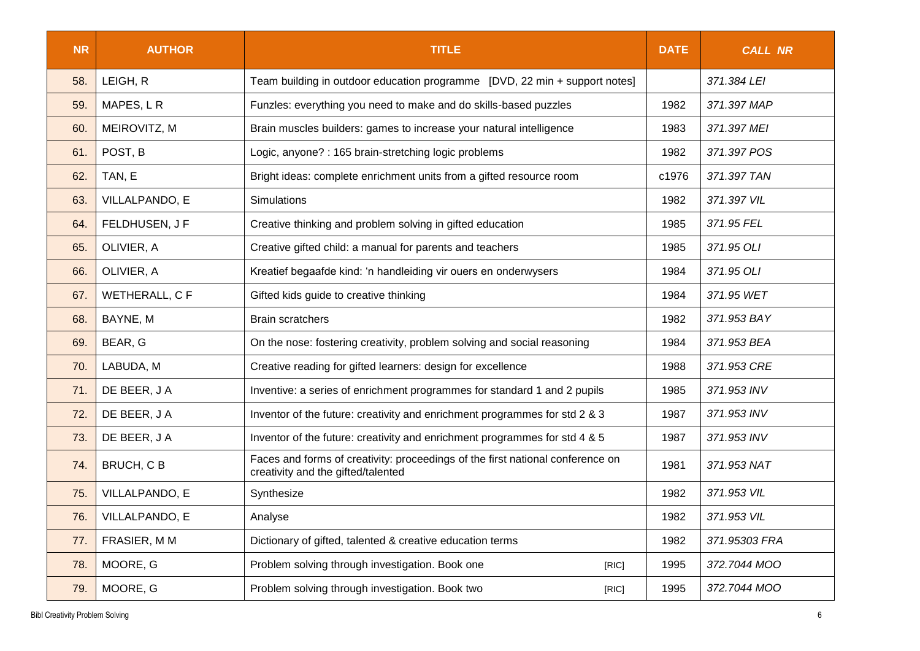| <b>NR</b> | <b>AUTHOR</b>  | <b>TITLE</b>                                                                                                         |       | <b>CALL NR</b> |
|-----------|----------------|----------------------------------------------------------------------------------------------------------------------|-------|----------------|
| 58.       | LEIGH, R       | Team building in outdoor education programme [DVD, 22 min + support notes]                                           |       | 371.384 LEI    |
| 59.       | MAPES, LR      | Funzles: everything you need to make and do skills-based puzzles                                                     | 1982  | 371.397 MAP    |
| 60.       | MEIROVITZ, M   | Brain muscles builders: games to increase your natural intelligence                                                  | 1983  | 371.397 MEI    |
| 61.       | POST, B        | Logic, anyone? : 165 brain-stretching logic problems                                                                 | 1982  | 371.397 POS    |
| 62.       | TAN, E         | Bright ideas: complete enrichment units from a gifted resource room                                                  | c1976 | 371.397 TAN    |
| 63.       | VILLALPANDO, E | <b>Simulations</b>                                                                                                   | 1982  | 371.397 VIL    |
| 64.       | FELDHUSEN, J F | Creative thinking and problem solving in gifted education                                                            | 1985  | 371.95 FEL     |
| 65.       | OLIVIER, A     | Creative gifted child: a manual for parents and teachers                                                             | 1985  | 371.95 OLI     |
| 66.       | OLIVIER, A     | Kreatief begaafde kind: 'n handleiding vir ouers en onderwysers                                                      | 1984  | 371.95 OLI     |
| 67.       | WETHERALL, C F | Gifted kids guide to creative thinking                                                                               | 1984  | 371.95 WET     |
| 68.       | BAYNE, M       | <b>Brain scratchers</b>                                                                                              | 1982  | 371.953 BAY    |
| 69.       | BEAR, G        | On the nose: fostering creativity, problem solving and social reasoning                                              | 1984  | 371.953 BEA    |
| 70.       | LABUDA, M      | Creative reading for gifted learners: design for excellence                                                          | 1988  | 371.953 CRE    |
| 71.       | DE BEER, J A   | Inventive: a series of enrichment programmes for standard 1 and 2 pupils                                             | 1985  | 371.953 INV    |
| 72.       | DE BEER, J A   | Inventor of the future: creativity and enrichment programmes for std 2 & 3                                           | 1987  | 371.953 INV    |
| 73.       | DE BEER, J A   | Inventor of the future: creativity and enrichment programmes for std 4 & 5                                           | 1987  | 371.953 INV    |
| 74.       | BRUCH, CB      | Faces and forms of creativity: proceedings of the first national conference on<br>creativity and the gifted/talented | 1981  | 371.953 NAT    |
| 75.       | VILLALPANDO, E | Synthesize                                                                                                           | 1982  | 371.953 VIL    |
| 76.       | VILLALPANDO, E | Analyse                                                                                                              | 1982  | 371.953 VIL    |
| 77.       | FRASIER, MM    | Dictionary of gifted, talented & creative education terms                                                            | 1982  | 371.95303 FRA  |
| 78.       | MOORE, G       | Problem solving through investigation. Book one<br>[RIC]                                                             | 1995  | 372.7044 MOO   |
| 79.       | MOORE, G       | Problem solving through investigation. Book two<br>[RIC]                                                             | 1995  | 372.7044 MOO   |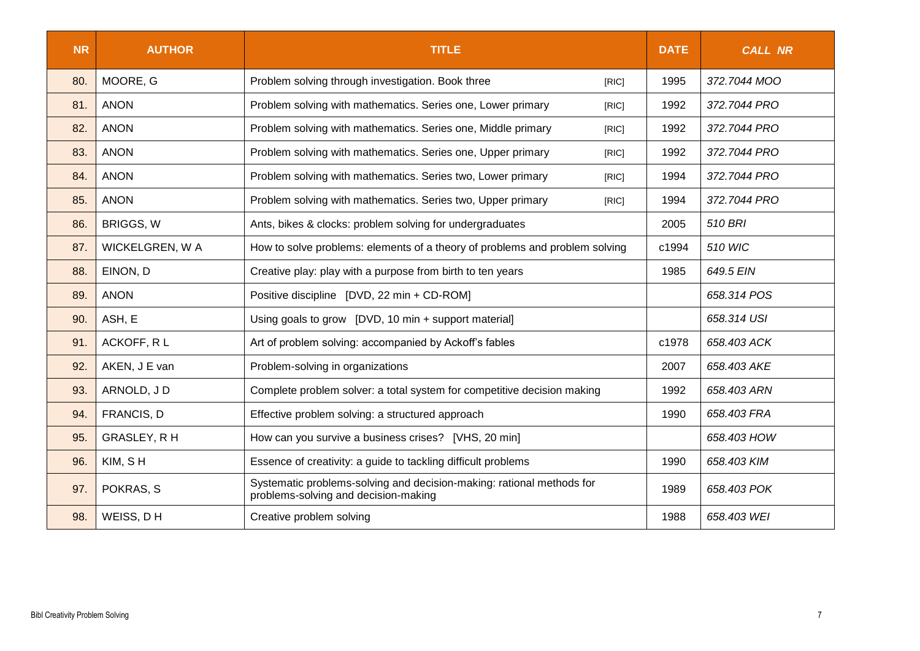| <b>NR</b> | <b>AUTHOR</b>                                                                                                              | <b>TITLE</b>                                                                | <b>DATE</b> | <b>CALL NR</b> |
|-----------|----------------------------------------------------------------------------------------------------------------------------|-----------------------------------------------------------------------------|-------------|----------------|
| 80.       | MOORE, G                                                                                                                   | Problem solving through investigation. Book three<br>[RIC]                  | 1995        | 372.7044 MOO   |
| 81.       | <b>ANON</b>                                                                                                                | Problem solving with mathematics. Series one, Lower primary<br>[RIC]        | 1992        | 372.7044 PRO   |
| 82.       | <b>ANON</b>                                                                                                                | Problem solving with mathematics. Series one, Middle primary<br>[RIC]       | 1992        | 372.7044 PRO   |
| 83.       | <b>ANON</b>                                                                                                                | Problem solving with mathematics. Series one, Upper primary<br>[RIC]        | 1992        | 372.7044 PRO   |
| 84.       | <b>ANON</b>                                                                                                                | Problem solving with mathematics. Series two, Lower primary<br>[RIC]        | 1994        | 372.7044 PRO   |
| 85.       | <b>ANON</b>                                                                                                                | Problem solving with mathematics. Series two, Upper primary<br>[RIC]        | 1994        | 372.7044 PRO   |
| 86.       | <b>BRIGGS, W</b>                                                                                                           | Ants, bikes & clocks: problem solving for undergraduates                    | 2005        | 510 BRI        |
| 87.       | WICKELGREN, W A                                                                                                            | How to solve problems: elements of a theory of problems and problem solving | c1994       | 510 WIC        |
| 88.       | EINON, D<br>Creative play: play with a purpose from birth to ten years                                                     |                                                                             | 1985        | 649.5 EIN      |
| 89.       | <b>ANON</b><br>Positive discipline [DVD, 22 min + CD-ROM]                                                                  |                                                                             |             | 658.314 POS    |
| 90.       | ASH, E                                                                                                                     | Using goals to grow [DVD, 10 min + support material]                        |             | 658.314 USI    |
| 91.       | ACKOFF, RL                                                                                                                 | Art of problem solving: accompanied by Ackoff's fables                      | c1978       | 658.403 ACK    |
| 92.       | AKEN, J E van                                                                                                              | Problem-solving in organizations                                            | 2007        | 658.403 AKE    |
| 93.       | ARNOLD, JD                                                                                                                 | Complete problem solver: a total system for competitive decision making     | 1992        | 658.403 ARN    |
| 94.       | FRANCIS, D<br>Effective problem solving: a structured approach                                                             |                                                                             | 1990        | 658.403 FRA    |
| 95.       | GRASLEY, R H<br>How can you survive a business crises? [VHS, 20 min]                                                       |                                                                             |             | 658.403 HOW    |
| 96.       | KIM, SH                                                                                                                    | Essence of creativity: a guide to tackling difficult problems               |             | 658.403 KIM    |
| 97.       | Systematic problems-solving and decision-making: rational methods for<br>POKRAS, S<br>problems-solving and decision-making |                                                                             | 1989        | 658.403 POK    |
| 98.       | WEISS, DH<br>Creative problem solving                                                                                      |                                                                             | 1988        | 658.403 WEI    |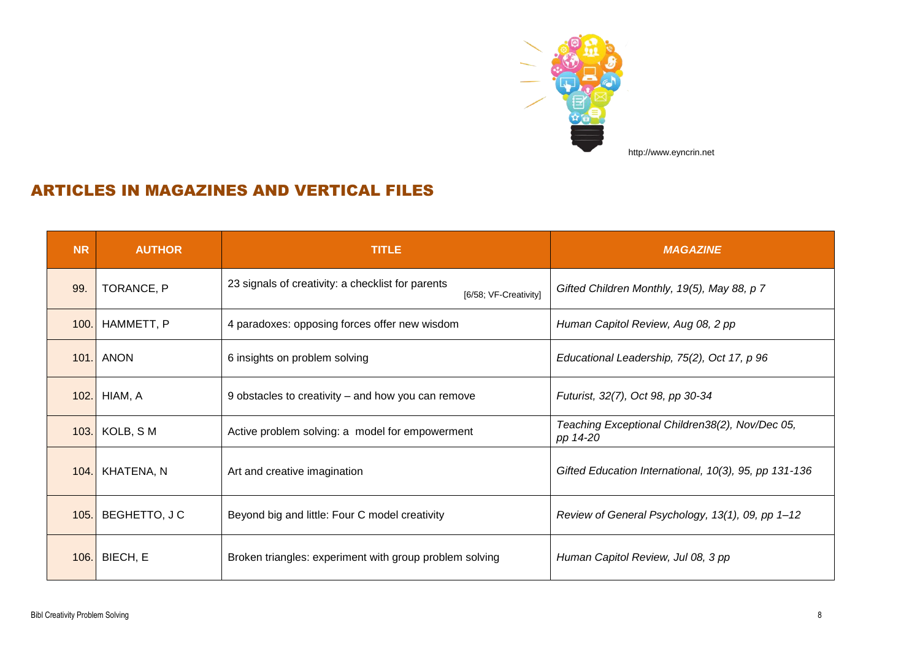

## ARTICLES IN MAGAZINES AND VERTICAL FILES

| <b>NR</b> | <b>AUTHOR</b>   | <b>TITLE</b>                                                               | <b>MAGAZINE</b>                                             |
|-----------|-----------------|----------------------------------------------------------------------------|-------------------------------------------------------------|
| 99.       | TORANCE, P      | 23 signals of creativity: a checklist for parents<br>[6/58; VF-Creativity] | Gifted Children Monthly, 19(5), May 88, p 7                 |
| 100.      | HAMMETT, P      | 4 paradoxes: opposing forces offer new wisdom                              | Human Capitol Review, Aug 08, 2 pp                          |
| 101.      | ANON            | 6 insights on problem solving                                              | Educational Leadership, 75(2), Oct 17, p 96                 |
| 102.      | HIAM, A         | 9 obstacles to creativity – and how you can remove                         | Futurist, 32(7), Oct 98, pp 30-34                           |
| 103.      | KOLB, SM        | Active problem solving: a model for empowerment                            | Teaching Exceptional Children38(2), Nov/Dec 05,<br>pp 14-20 |
|           | 104. KHATENA, N | Art and creative imagination                                               | Gifted Education International, 10(3), 95, pp 131-136       |
| 105.      | BEGHETTO, J C   | Beyond big and little: Four C model creativity                             | Review of General Psychology, 13(1), 09, pp 1-12            |
|           | 106. BIECH, E   | Broken triangles: experiment with group problem solving                    | Human Capitol Review, Jul 08, 3 pp                          |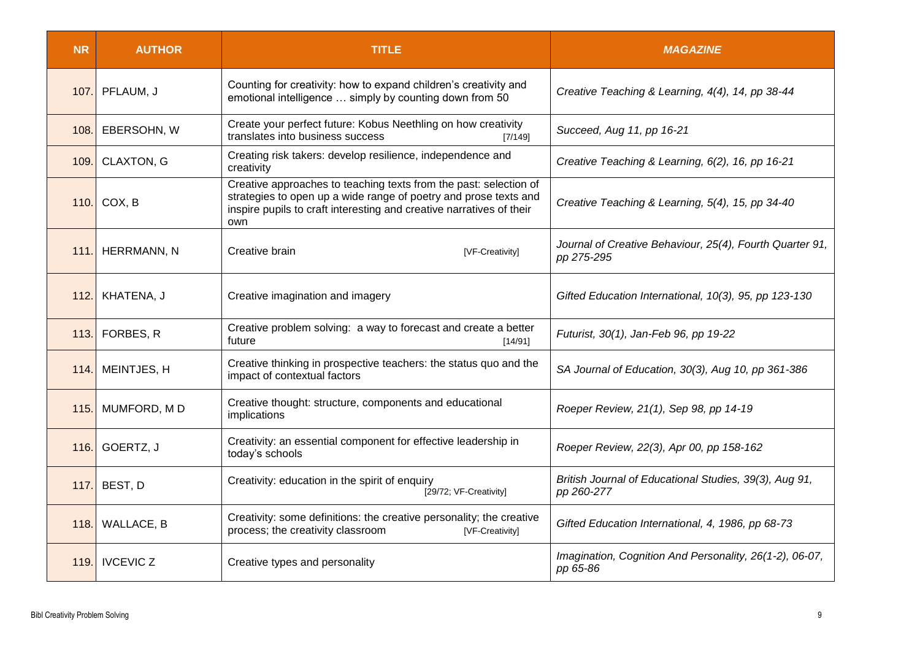| <b>NR</b>   | <b>AUTHOR</b>      | <b>TITLE</b>                                                                                                                                                                                                         | <b>MAGAZINE</b>                                                        |
|-------------|--------------------|----------------------------------------------------------------------------------------------------------------------------------------------------------------------------------------------------------------------|------------------------------------------------------------------------|
| 107.        | PFLAUM, J          | Counting for creativity: how to expand children's creativity and<br>emotional intelligence  simply by counting down from 50                                                                                          | Creative Teaching & Learning, 4(4), 14, pp 38-44                       |
| 108.        | EBERSOHN, W        | Create your perfect future: Kobus Neethling on how creativity<br>translates into business success<br>[7/149]                                                                                                         | Succeed, Aug 11, pp 16-21                                              |
| 109.1       | <b>CLAXTON, G</b>  | Creating risk takers: develop resilience, independence and<br>creativity                                                                                                                                             | Creative Teaching & Learning, 6(2), 16, pp 16-21                       |
| 110.        | COX, B             | Creative approaches to teaching texts from the past: selection of<br>strategies to open up a wide range of poetry and prose texts and<br>inspire pupils to craft interesting and creative narratives of their<br>own | Creative Teaching & Learning, 5(4), 15, pp 34-40                       |
| 111.        | <b>HERRMANN, N</b> | Creative brain<br>[VF-Creativity]                                                                                                                                                                                    | Journal of Creative Behaviour, 25(4), Fourth Quarter 91,<br>pp 275-295 |
| 112.        | KHATENA, J         | Creative imagination and imagery                                                                                                                                                                                     | Gifted Education International, 10(3), 95, pp 123-130                  |
| 113.        | FORBES, R          | Creative problem solving: a way to forecast and create a better<br>future<br>[14/91]                                                                                                                                 | Futurist, 30(1), Jan-Feb 96, pp 19-22                                  |
| 114.        | MEINTJES, H        | Creative thinking in prospective teachers: the status quo and the<br>impact of contextual factors                                                                                                                    | SA Journal of Education, 30(3), Aug 10, pp 361-386                     |
| 115.        | MUMFORD, MD        | Creative thought: structure, components and educational<br>implications                                                                                                                                              | Roeper Review, 21(1), Sep 98, pp 14-19                                 |
| <b>116.</b> | GOERTZ, J          | Creativity: an essential component for effective leadership in<br>today's schools                                                                                                                                    | Roeper Review, 22(3), Apr 00, pp 158-162                               |
| 117.        | BEST, D            | Creativity: education in the spirit of enquiry<br>[29/72; VF-Creativity]                                                                                                                                             | British Journal of Educational Studies, 39(3), Aug 91,<br>pp 260-277   |
| 118.1       | <b>WALLACE, B</b>  | Creativity: some definitions: the creative personality; the creative<br>process; the creativity classroom<br>[VF-Creativity]                                                                                         | Gifted Education International, 4, 1986, pp 68-73                      |
| 119.        | <b>IVCEVIC Z</b>   | Creative types and personality                                                                                                                                                                                       | Imagination, Cognition And Personality, 26(1-2), 06-07,<br>pp 65-86    |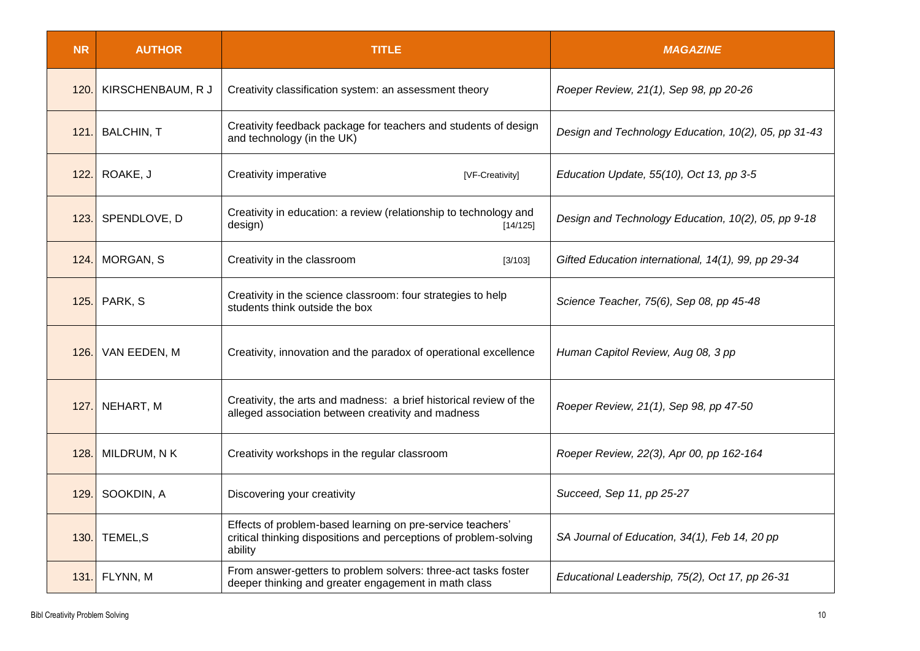| <b>NR</b> | <b>AUTHOR</b>     | <b>TITLE</b>                                                                                                                               | <b>MAGAZINE</b>                                      |
|-----------|-------------------|--------------------------------------------------------------------------------------------------------------------------------------------|------------------------------------------------------|
| 120.      | KIRSCHENBAUM, R J | Creativity classification system: an assessment theory                                                                                     | Roeper Review, 21(1), Sep 98, pp 20-26               |
| 121.      | <b>BALCHIN, T</b> | Creativity feedback package for teachers and students of design<br>and technology (in the UK)                                              | Design and Technology Education, 10(2), 05, pp 31-43 |
| 122.      | ROAKE, J          | Creativity imperative<br>[VF-Creativity]                                                                                                   | Education Update, 55(10), Oct 13, pp 3-5             |
| 123.      | SPENDLOVE, D      | Creativity in education: a review (relationship to technology and<br>design)<br>[14/125]                                                   | Design and Technology Education, 10(2), 05, pp 9-18  |
| 124.      | <b>MORGAN, S</b>  | Creativity in the classroom<br>[3/103]                                                                                                     | Gifted Education international, 14(1), 99, pp 29-34  |
| 125.      | PARK, S           | Creativity in the science classroom: four strategies to help<br>students think outside the box                                             | Science Teacher, 75(6), Sep 08, pp 45-48             |
| 126.      | VAN EEDEN, M      | Creativity, innovation and the paradox of operational excellence                                                                           | Human Capitol Review, Aug 08, 3 pp                   |
| 127.      | NEHART, M         | Creativity, the arts and madness: a brief historical review of the<br>alleged association between creativity and madness                   | Roeper Review, 21(1), Sep 98, pp 47-50               |
| 128.      | MILDRUM, N K      | Creativity workshops in the regular classroom                                                                                              | Roeper Review, 22(3), Apr 00, pp 162-164             |
| 129.      | SOOKDIN, A        | Discovering your creativity                                                                                                                | Succeed, Sep 11, pp 25-27                            |
| 130.      | TEMEL, S          | Effects of problem-based learning on pre-service teachers'<br>critical thinking dispositions and perceptions of problem-solving<br>ability | SA Journal of Education, 34(1), Feb 14, 20 pp        |
| 131.      | FLYNN, M          | From answer-getters to problem solvers: three-act tasks foster<br>deeper thinking and greater engagement in math class                     | Educational Leadership, 75(2), Oct 17, pp 26-31      |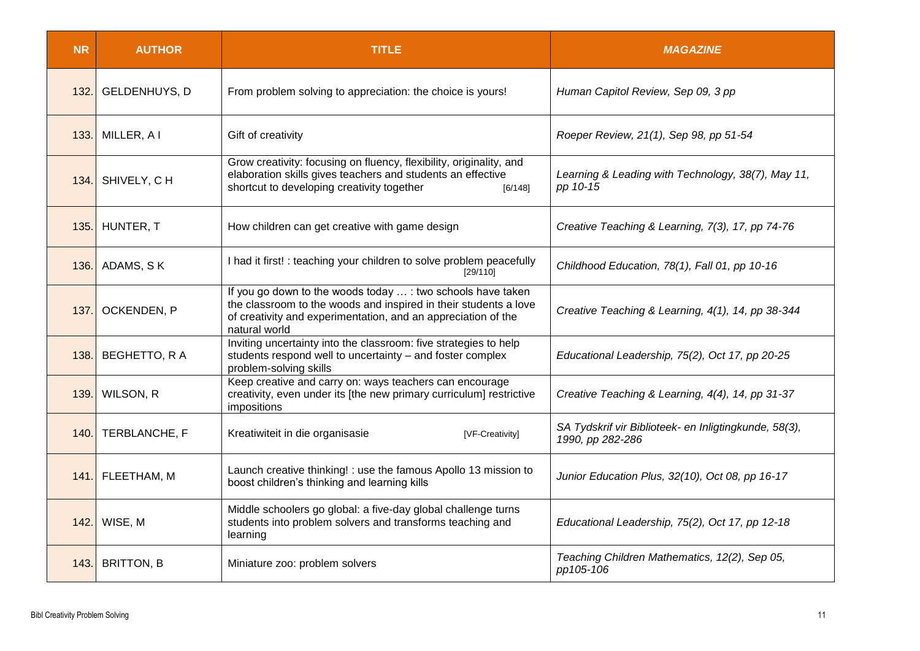| <b>NR</b> | <b>AUTHOR</b>        | <b>TITLE</b>                                                                                                                                                                                                      | <b>MAGAZINE</b>                                                           |
|-----------|----------------------|-------------------------------------------------------------------------------------------------------------------------------------------------------------------------------------------------------------------|---------------------------------------------------------------------------|
| 132.      | <b>GELDENHUYS, D</b> | From problem solving to appreciation: the choice is yours!                                                                                                                                                        | Human Capitol Review, Sep 09, 3 pp                                        |
| 133.      | MILLER, A I          | Gift of creativity                                                                                                                                                                                                | Roeper Review, 21(1), Sep 98, pp 51-54                                    |
| 134.      | SHIVELY, CH          | Grow creativity: focusing on fluency, flexibility, originality, and<br>elaboration skills gives teachers and students an effective<br>shortcut to developing creativity together<br>[6/148]                       | Learning & Leading with Technology, 38(7), May 11,<br>pp 10-15            |
| 135.      | HUNTER, T            | How children can get creative with game design                                                                                                                                                                    | Creative Teaching & Learning, 7(3), 17, pp 74-76                          |
| 136.      | ADAMS, SK            | I had it first! : teaching your children to solve problem peacefully<br>[29/110]                                                                                                                                  | Childhood Education, 78(1), Fall 01, pp 10-16                             |
| 137.      | OCKENDEN, P          | If you go down to the woods today  : two schools have taken<br>the classroom to the woods and inspired in their students a love<br>of creativity and experimentation, and an appreciation of the<br>natural world | Creative Teaching & Learning, 4(1), 14, pp 38-344                         |
| 138.      | BEGHETTO, R A        | Inviting uncertainty into the classroom: five strategies to help<br>students respond well to uncertainty - and foster complex<br>problem-solving skills                                                           | Educational Leadership, 75(2), Oct 17, pp 20-25                           |
| 139.      | WILSON, R            | Keep creative and carry on: ways teachers can encourage<br>creativity, even under its [the new primary curriculum] restrictive<br>impositions                                                                     | Creative Teaching & Learning, 4(4), 14, pp 31-37                          |
| 140.      | TERBLANCHE, F        | Kreatiwiteit in die organisasie<br>[VF-Creativity]                                                                                                                                                                | SA Tydskrif vir Biblioteek- en Inligtingkunde, 58(3),<br>1990, pp 282-286 |
| 141.      | FLEETHAM, M          | Launch creative thinking! : use the famous Apollo 13 mission to<br>boost children's thinking and learning kills                                                                                                   | Junior Education Plus, 32(10), Oct 08, pp 16-17                           |
| 142.      | WISE, M              | Middle schoolers go global: a five-day global challenge turns<br>students into problem solvers and transforms teaching and<br>learning                                                                            | Educational Leadership, 75(2), Oct 17, pp 12-18                           |
| 143.      | <b>BRITTON, B</b>    | Miniature zoo: problem solvers                                                                                                                                                                                    | Teaching Children Mathematics, 12(2), Sep 05,<br>pp105-106                |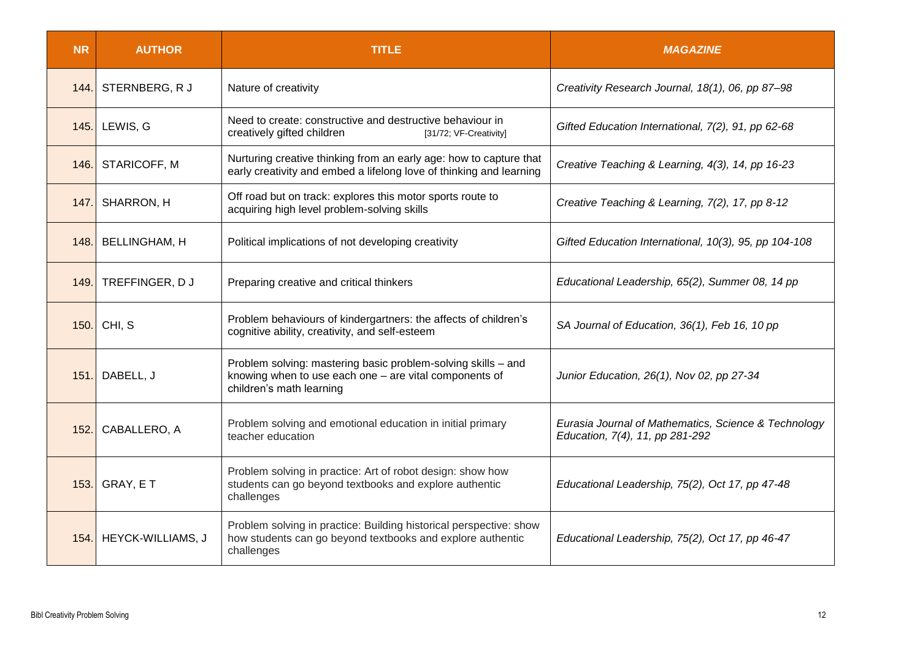| <b>NR</b> | <b>AUTHOR</b>          | <b>TITLE</b>                                                                                                                                        | <b>MAGAZINE</b>                                                                         |
|-----------|------------------------|-----------------------------------------------------------------------------------------------------------------------------------------------------|-----------------------------------------------------------------------------------------|
| 144.      | STERNBERG, R J         | Nature of creativity                                                                                                                                | Creativity Research Journal, 18(1), 06, pp 87-98                                        |
|           | 145. LEWIS, G          | Need to create: constructive and destructive behaviour in<br>creatively gifted children<br>[31/72; VF-Creativity]                                   | Gifted Education International, 7(2), 91, pp 62-68                                      |
|           | 146. STARICOFF, M      | Nurturing creative thinking from an early age: how to capture that<br>early creativity and embed a lifelong love of thinking and learning           | Creative Teaching & Learning, 4(3), 14, pp 16-23                                        |
|           | 147. SHARRON, H        | Off road but on track: explores this motor sports route to<br>acquiring high level problem-solving skills                                           | Creative Teaching & Learning, 7(2), 17, pp 8-12                                         |
| 148.      | <b>BELLINGHAM, H</b>   | Political implications of not developing creativity                                                                                                 | Gifted Education International, 10(3), 95, pp 104-108                                   |
| 149.      | TREFFINGER, DJ         | Preparing creative and critical thinkers                                                                                                            | Educational Leadership, 65(2), Summer 08, 14 pp                                         |
| 150.      | CHI, S                 | Problem behaviours of kindergartners: the affects of children's<br>cognitive ability, creativity, and self-esteem                                   | SA Journal of Education, 36(1), Feb 16, 10 pp                                           |
|           | 151. DABELL, J         | Problem solving: mastering basic problem-solving skills - and<br>knowing when to use each one - are vital components of<br>children's math learning | Junior Education, 26(1), Nov 02, pp 27-34                                               |
|           | 152. CABALLERO, A      | Problem solving and emotional education in initial primary<br>teacher education                                                                     | Eurasia Journal of Mathematics, Science & Technology<br>Education, 7(4), 11, pp 281-292 |
|           | 153. GRAY, E T         | Problem solving in practice: Art of robot design: show how<br>students can go beyond textbooks and explore authentic<br>challenges                  | Educational Leadership, 75(2), Oct 17, pp 47-48                                         |
|           | 154. HEYCK-WILLIAMS, J | Problem solving in practice: Building historical perspective: show<br>how students can go beyond textbooks and explore authentic<br>challenges      | Educational Leadership, 75(2), Oct 17, pp 46-47                                         |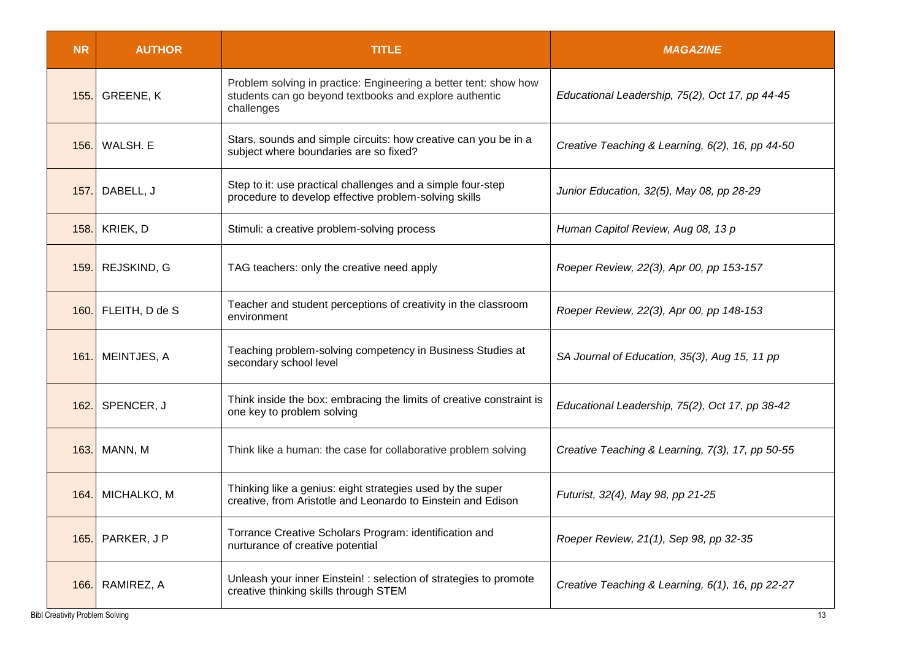| <b>NR</b>                              | <b>AUTHOR</b>    | <b>TITLE</b>                                                                                                                             | <b>MAGAZINE</b>                                  |
|----------------------------------------|------------------|------------------------------------------------------------------------------------------------------------------------------------------|--------------------------------------------------|
| 155.                                   | <b>GREENE, K</b> | Problem solving in practice: Engineering a better tent: show how<br>students can go beyond textbooks and explore authentic<br>challenges | Educational Leadership, 75(2), Oct 17, pp 44-45  |
| 156.                                   | WALSH. E         | Stars, sounds and simple circuits: how creative can you be in a<br>subject where boundaries are so fixed?                                | Creative Teaching & Learning, 6(2), 16, pp 44-50 |
| 157.                                   | DABELL, J        | Step to it: use practical challenges and a simple four-step<br>procedure to develop effective problem-solving skills                     | Junior Education, 32(5), May 08, pp 28-29        |
| 158.                                   | KRIEK, D         | Stimuli: a creative problem-solving process                                                                                              | Human Capitol Review, Aug 08, 13 p               |
| 159.1                                  | REJSKIND, G      | TAG teachers: only the creative need apply                                                                                               | Roeper Review, 22(3), Apr 00, pp 153-157         |
| 160.                                   | FLEITH, D de S   | Teacher and student perceptions of creativity in the classroom<br>environment                                                            | Roeper Review, 22(3), Apr 00, pp 148-153         |
| 161.                                   | MEINTJES, A      | Teaching problem-solving competency in Business Studies at<br>secondary school level                                                     | SA Journal of Education, 35(3), Aug 15, 11 pp    |
| 162.                                   | SPENCER, J       | Think inside the box: embracing the limits of creative constraint is<br>one key to problem solving                                       | Educational Leadership, 75(2), Oct 17, pp 38-42  |
| 163.                                   | MANN, M          | Think like a human: the case for collaborative problem solving                                                                           | Creative Teaching & Learning, 7(3), 17, pp 50-55 |
| 164.                                   | MICHALKO, M      | Thinking like a genius: eight strategies used by the super<br>creative, from Aristotle and Leonardo to Einstein and Edison               | Futurist, 32(4), May 98, pp 21-25                |
| 165.                                   | PARKER, J P      | Torrance Creative Scholars Program: identification and<br>nurturance of creative potential                                               | Roeper Review, 21(1), Sep 98, pp 32-35           |
| 166.                                   | RAMIREZ, A       | Unleash your inner Einstein! : selection of strategies to promote<br>creative thinking skills through STEM                               | Creative Teaching & Learning, 6(1), 16, pp 22-27 |
| <b>Bibl Creativity Problem Solving</b> |                  |                                                                                                                                          | 13                                               |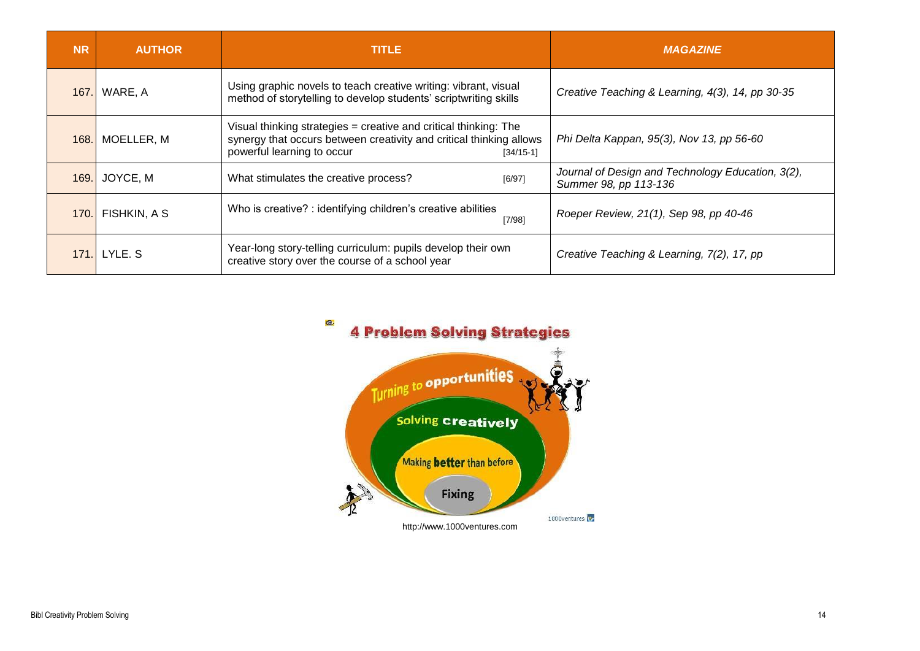| <b>NR</b> | <b>AUTHOR</b> | <b>TITLE</b>                                                                                                                                                                           | <b>MAGAZINE</b>                                                            |
|-----------|---------------|----------------------------------------------------------------------------------------------------------------------------------------------------------------------------------------|----------------------------------------------------------------------------|
| 167.      | WARE, A       | Using graphic novels to teach creative writing: vibrant, visual<br>method of storytelling to develop students' scriptwriting skills                                                    | Creative Teaching & Learning, 4(3), 14, pp 30-35                           |
| 168.      | MOELLER, M    | Visual thinking strategies $=$ creative and critical thinking: The<br>synergy that occurs between creativity and critical thinking allows<br>powerful learning to occur<br>$[34/15-1]$ | Phi Delta Kappan, 95(3), Nov 13, pp 56-60                                  |
| 169.      | JOYCE, M      | What stimulates the creative process?<br>[6/97]                                                                                                                                        | Journal of Design and Technology Education, 3(2),<br>Summer 98, pp 113-136 |
| 170.      | FISHKIN, A S  | Who is creative? : identifying children's creative abilities<br>[7/98]                                                                                                                 | Roeper Review, 21(1), Sep 98, pp 40-46                                     |
| 171       | LYLE. S       | Year-long story-telling curriculum: pupils develop their own<br>creative story over the course of a school year                                                                        | Creative Teaching & Learning, 7(2), 17, pp                                 |

Q. **4 Problem Solving Strategies** 

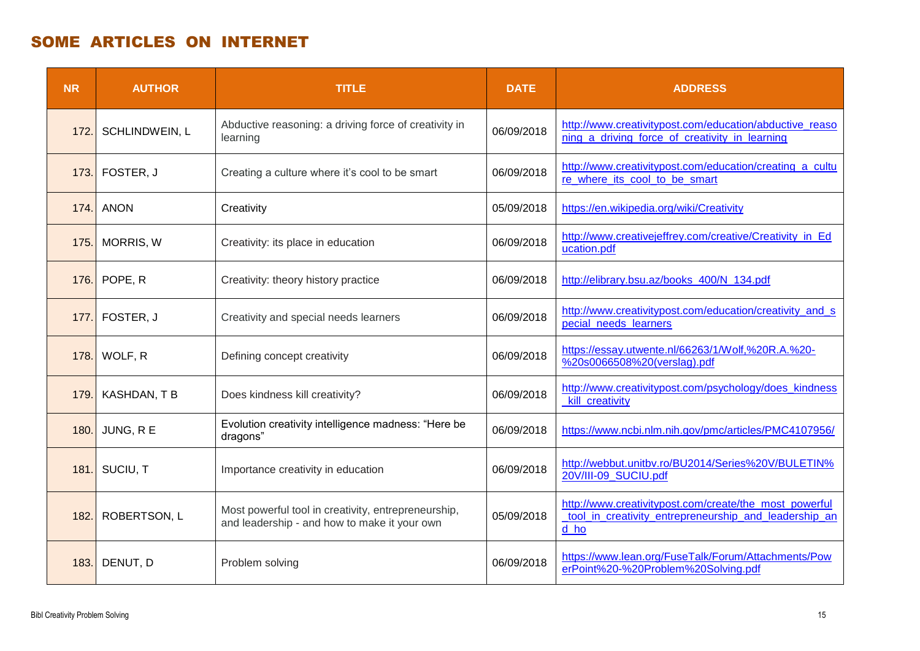## SOME ARTICLES ON INTERNET

| <b>NR</b> | <b>AUTHOR</b>    | <b>TITLE</b>                                                                                        | <b>DATE</b> | <b>ADDRESS</b>                                                                                                          |
|-----------|------------------|-----------------------------------------------------------------------------------------------------|-------------|-------------------------------------------------------------------------------------------------------------------------|
| 172.      | SCHLINDWEIN, L   | Abductive reasoning: a driving force of creativity in<br>learning                                   | 06/09/2018  | http://www.creativitypost.com/education/abductive reaso<br>ning_a_driving_force_of_creativity_in_learning               |
| 173.      | FOSTER, J        | Creating a culture where it's cool to be smart                                                      | 06/09/2018  | http://www.creativitypost.com/education/creating a cultu<br>re_where_its_cool_to_be_smart                               |
| 174.      | <b>ANON</b>      | Creativity                                                                                          | 05/09/2018  | https://en.wikipedia.org/wiki/Creativity                                                                                |
| 175.      | <b>MORRIS, W</b> | Creativity: its place in education                                                                  | 06/09/2018  | http://www.creativejeffrey.com/creative/Creativity_in_Ed<br>ucation.pdf                                                 |
| 176.      | POPE, R          | Creativity: theory history practice                                                                 | 06/09/2018  | http://elibrary.bsu.az/books 400/N 134.pdf                                                                              |
| 177       | FOSTER, J        | Creativity and special needs learners                                                               | 06/09/2018  | http://www.creativitypost.com/education/creativity_and_s<br>pecial_needs_learners                                       |
| 178.      | WOLF, R          | Defining concept creativity                                                                         | 06/09/2018  | https://essay.utwente.nl/66263/1/Wolf,%20R.A.%20-<br>%20s0066508%20(verslag).pdf                                        |
| 179.      | KASHDAN, TB      | Does kindness kill creativity?                                                                      | 06/09/2018  | http://www.creativitypost.com/psychology/does_kindness<br>kill creativity                                               |
| 180.      | JUNG, R E        | Evolution creativity intelligence madness: "Here be<br>dragons"                                     | 06/09/2018  | https://www.ncbi.nlm.nih.gov/pmc/articles/PMC4107956/                                                                   |
| 181.      | SUCIU, T         | Importance creativity in education                                                                  | 06/09/2018  | http://webbut.unitbv.ro/BU2014/Series%20V/BULETIN%<br>20V/III-09 SUCIU.pdf                                              |
| 182.      | ROBERTSON, L     | Most powerful tool in creativity, entrepreneurship,<br>and leadership - and how to make it your own | 05/09/2018  | http://www.creativitypost.com/create/the_most_powerful<br>tool_in_creativity_entrepreneurship_and_leadership_an<br>d ho |
| 183.      | DENUT, D         | Problem solving                                                                                     | 06/09/2018  | https://www.lean.org/FuseTalk/Forum/Attachments/Pow<br>erPoint%20-%20Problem%20Solving.pdf                              |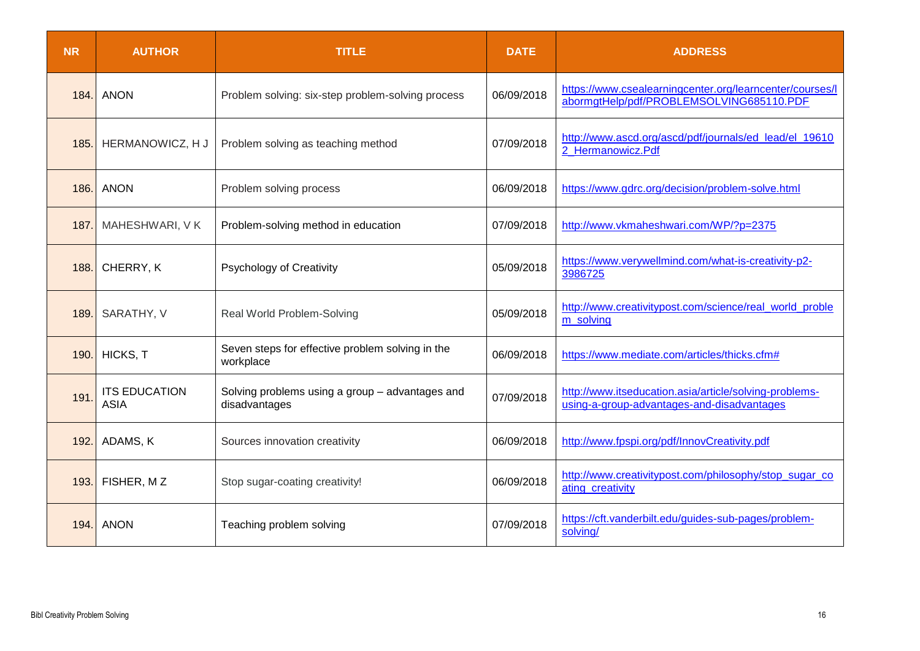| <b>NR</b> | <b>AUTHOR</b>                       | <b>TITLE</b>                                                     | <b>DATE</b> | <b>ADDRESS</b>                                                                                       |
|-----------|-------------------------------------|------------------------------------------------------------------|-------------|------------------------------------------------------------------------------------------------------|
| 184.      | <b>ANON</b>                         | Problem solving: six-step problem-solving process                | 06/09/2018  | https://www.csealearningcenter.org/learncenter/courses/l<br>abormgtHelp/pdf/PROBLEMSOLVING685110.PDF |
| 185.      | HERMANOWICZ, H J                    | Problem solving as teaching method                               | 07/09/2018  | http://www.ascd.org/ascd/pdf/journals/ed_lead/el_19610<br>2 Hermanowicz.Pdf                          |
| 186.      | <b>ANON</b>                         | Problem solving process                                          | 06/09/2018  | https://www.gdrc.org/decision/problem-solve.html                                                     |
| 187.      | MAHESHWARI, V K                     | Problem-solving method in education                              | 07/09/2018  | http://www.vkmaheshwari.com/WP/?p=2375                                                               |
| 188.      | CHERRY, K                           | Psychology of Creativity                                         | 05/09/2018  | https://www.verywellmind.com/what-is-creativity-p2-<br>3986725                                       |
| 189       | SARATHY, V                          | Real World Problem-Solving                                       | 05/09/2018  | http://www.creativitypost.com/science/real_world_proble<br>m_solving                                 |
| 190.      | HICKS, T                            | Seven steps for effective problem solving in the<br>workplace    | 06/09/2018  | https://www.mediate.com/articles/thicks.cfm#                                                         |
| 191       | <b>ITS EDUCATION</b><br><b>ASIA</b> | Solving problems using a group - advantages and<br>disadvantages | 07/09/2018  | http://www.itseducation.asia/article/solving-problems-<br>using-a-group-advantages-and-disadvantages |
| 192.      | ADAMS, K                            | Sources innovation creativity                                    | 06/09/2018  | http://www.fpspi.org/pdf/InnovCreativity.pdf                                                         |
| 193.      | FISHER, MZ                          | Stop sugar-coating creativity!                                   | 06/09/2018  | http://www.creativitypost.com/philosophy/stop_sugar_co<br>ating_creativity                           |
| 194.      | <b>ANON</b>                         | Teaching problem solving                                         | 07/09/2018  | https://cft.vanderbilt.edu/guides-sub-pages/problem-<br>solving/                                     |